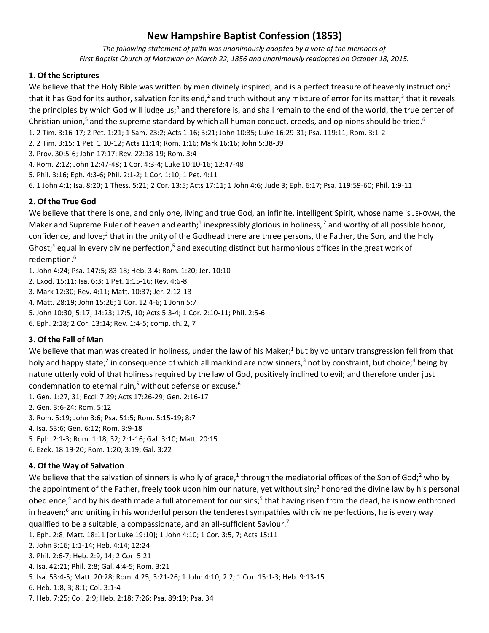# **New Hampshire Baptist Confession (1853)**

*The following statement of faith was unanimously adopted by a vote of the members of First Baptist Church of Matawan on March 22, 1856 and unanimously readopted on October 18, 2015.*

## **1. Of the Scriptures**

We believe that the Holy Bible was written by men divinely inspired, and is a perfect treasure of heavenly instruction; $<sup>1</sup>$ </sup> that it has God for its author, salvation for its end,<sup>2</sup> and truth without any mixture of error for its matter;<sup>3</sup> that it reveals the principles by which God will judge us;<sup>4</sup> and therefore is, and shall remain to the end of the world, the true center of Christian union,<sup>5</sup> and the supreme standard by which all human conduct, creeds, and opinions should be tried.<sup>6</sup>

1. 2 Tim. 3:16-17; 2 Pet. 1:21; 1 Sam. 23:2; Acts 1:16; 3:21; John 10:35; Luke 16:29-31; Psa. 119:11; Rom. 3:1-2

2. 2 Tim. 3:15; 1 Pet. 1:10-12; Acts 11:14; Rom. 1:16; Mark 16:16; John 5:38-39

3. Prov. 30:5-6; John 17:17; Rev. 22:18-19; Rom. 3:4

4. Rom. 2:12; John 12:47-48; 1 Cor. 4:3-4; Luke 10:10-16; 12:47-48

5. Phil. 3:16; Eph. 4:3-6; Phil. 2:1-2; 1 Cor. 1:10; 1 Pet. 4:11

6. 1 John 4:1; Isa. 8:20; 1 Thess. 5:21; 2 Cor. 13:5; Acts 17:11; 1 John 4:6; Jude 3; Eph. 6:17; Psa. 119:59-60; Phil. 1:9-11

# **2. Of the True God**

We believe that there is one, and only one, living and true God, an infinite, intelligent Spirit, whose name is JEHOVAH, the Maker and Supreme Ruler of heaven and earth;<sup>1</sup> inexpressibly glorious in holiness,  $^2$  and worthy of all possible honor, confidence, and love;<sup>3</sup> that in the unity of the Godhead there are three persons, the Father, the Son, and the Holy Ghost;<sup>4</sup> equal in every divine perfection,<sup>5</sup> and executing distinct but harmonious offices in the great work of redemption. 6

1. John 4:24; Psa. 147:5; 83:18; Heb. 3:4; Rom. 1:20; Jer. 10:10

2. Exod. 15:11; Isa. 6:3; 1 Pet. 1:15-16; Rev. 4:6-8

3. Mark 12:30; Rev. 4:11; Matt. 10:37; Jer. 2:12-13

4. Matt. 28:19; John 15:26; 1 Cor. 12:4-6; 1 John 5:7

5. John 10:30; 5:17; 14:23; 17:5, 10; Acts 5:3-4; 1 Cor. 2:10-11; Phil. 2:5-6

6. Eph. 2:18; 2 Cor. 13:14; Rev. 1:4-5; comp. ch. 2, 7

# **3. Of the Fall of Man**

We believe that man was created in holiness, under the law of his Maker;<sup>1</sup> but by voluntary transgression fell from that holy and happy state;<sup>2</sup> in consequence of which all mankind are now sinners,<sup>3</sup> not by constraint, but choice;<sup>4</sup> being by nature utterly void of that holiness required by the law of God, positively inclined to evil; and therefore under just condemnation to eternal ruin,<sup>5</sup> without defense or excuse.<sup>6</sup>

1. Gen. 1:27, 31; Eccl. 7:29; Acts 17:26-29; Gen. 2:16-17

2. Gen. 3:6-24; Rom. 5:12

3. Rom. 5:19; John 3:6; Psa. 51:5; Rom. 5:15-19; 8:7

4. Isa. 53:6; Gen. 6:12; Rom. 3:9-18

5. Eph. 2:1-3; Rom. 1:18, 32; 2:1-16; Gal. 3:10; Matt. 20:15

6. Ezek. 18:19-20; Rom. 1:20; 3:19; Gal. 3:22

# **4. Of the Way of Salvation**

We believe that the salvation of sinners is wholly of grace,<sup>1</sup> through the mediatorial offices of the Son of God;<sup>2</sup> who by the appointment of the Father, freely took upon him our nature, yet without sin; <sup>3</sup> honored the divine law by his personal obedience,<sup>4</sup> and by his death made a full atonement for our sins;<sup>5</sup> that having risen from the dead, he is now enthroned in heaven; <sup>6</sup> and uniting in his wonderful person the tenderest sympathies with divine perfections, he is every way qualified to be a suitable, a compassionate, and an all-sufficient Saviour.<sup>7</sup>

1. Eph. 2:8; Matt. 18:11 [or Luke 19:10]; 1 John 4:10; 1 Cor. 3:5, 7; Acts 15:11 2. John 3:16; 1:1-14; Heb. 4:14; 12:24

3. Phil. 2:6-7; Heb. 2:9, 14; 2 Cor. 5:21

4. Isa. 42:21; Phil. 2:8; Gal. 4:4-5; Rom. 3:21

5. Isa. 53:4-5; Matt. 20:28; Rom. 4:25; 3:21-26; 1 John 4:10; 2:2; 1 Cor. 15:1-3; Heb. 9:13-15

6. Heb. 1:8, 3; 8:1; Col. 3:1-4

7. Heb. 7:25; Col. 2:9; Heb. 2:18; 7:26; Psa. 89:19; Psa. 34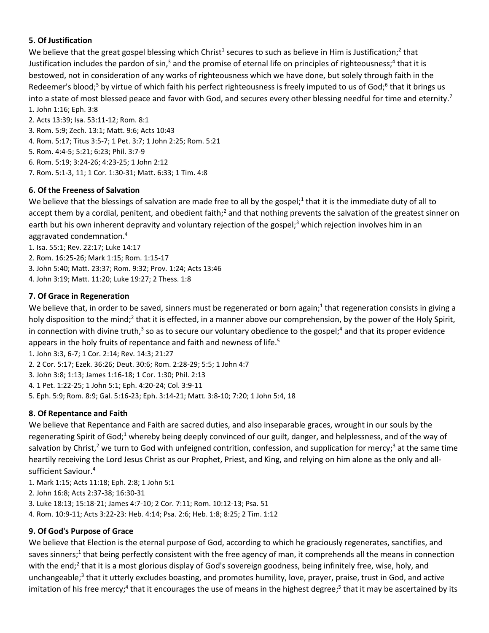# **5. Of Justification**

We believe that the great gospel blessing which Christ<sup>1</sup> secures to such as believe in Him is Justification;<sup>2</sup> that Justification includes the pardon of sin,<sup>3</sup> and the promise of eternal life on principles of righteousness;<sup>4</sup> that it is bestowed, not in consideration of any works of righteousness which we have done, but solely through faith in the Redeemer's blood;<sup>5</sup> by virtue of which faith his perfect righteousness is freely imputed to us of God;<sup>6</sup> that it brings us into a state of most blessed peace and favor with God, and secures every other blessing needful for time and eternity.<sup>7</sup> 1. John 1:16; Eph. 3:8

2. Acts 13:39; Isa. 53:11-12; Rom. 8:1

3. Rom. 5:9; Zech. 13:1; Matt. 9:6; Acts 10:43

4. Rom. 5:17; Titus 3:5-7; 1 Pet. 3:7; 1 John 2:25; Rom. 5:21

5. Rom. 4:4-5; 5:21; 6:23; Phil. 3:7-9

6. Rom. 5:19; 3:24-26; 4:23-25; 1 John 2:12

7. Rom. 5:1-3, 11; 1 Cor. 1:30-31; Matt. 6:33; 1 Tim. 4:8

#### **6. Of the Freeness of Salvation**

We believe that the blessings of salvation are made free to all by the gospel;<sup>1</sup> that it is the immediate duty of all to accept them by a cordial, penitent, and obedient faith;<sup>2</sup> and that nothing prevents the salvation of the greatest sinner on earth but his own inherent depravity and voluntary rejection of the gospel; <sup>3</sup> which rejection involves him in an aggravated condemnation. 4

1. Isa. 55:1; Rev. 22:17; Luke 14:17

2. Rom. 16:25-26; Mark 1:15; Rom. 1:15-17

3. John 5:40; Matt. 23:37; Rom. 9:32; Prov. 1:24; Acts 13:46

4. John 3:19; Matt. 11:20; Luke 19:27; 2 Thess. 1:8

## **7. Of Grace in Regeneration**

We believe that, in order to be saved, sinners must be regenerated or born again;<sup>1</sup> that regeneration consists in giving a holy disposition to the mind;<sup>2</sup> that it is effected, in a manner above our comprehension, by the power of the Holy Spirit, in connection with divine truth,<sup>3</sup> so as to secure our voluntary obedience to the gospel;<sup>4</sup> and that its proper evidence appears in the holy fruits of repentance and faith and newness of life.<sup>5</sup>

1. John 3:3, 6-7; 1 Cor. 2:14; Rev. 14:3; 21:27

2. 2 Cor. 5:17; Ezek. 36:26; Deut. 30:6; Rom. 2:28-29; 5:5; 1 John 4:7

3. John 3:8; 1:13; James 1:16-18; 1 Cor. 1:30; Phil. 2:13

4. 1 Pet. 1:22-25; 1 John 5:1; Eph. 4:20-24; Col. 3:9-11

5. Eph. 5:9; Rom. 8:9; Gal. 5:16-23; Eph. 3:14-21; Matt. 3:8-10; 7:20; 1 John 5:4, 18

# **8. Of Repentance and Faith**

We believe that Repentance and Faith are sacred duties, and also inseparable graces, wrought in our souls by the regenerating Spirit of God;<sup>1</sup> whereby being deeply convinced of our guilt, danger, and helplessness, and of the way of salvation by Christ,<sup>2</sup> we turn to God with unfeigned contrition, confession, and supplication for mercy;<sup>3</sup> at the same time heartily receiving the Lord Jesus Christ as our Prophet, Priest, and King, and relying on him alone as the only and allsufficient Saviour.<sup>4</sup>

1. Mark 1:15; Acts 11:18; Eph. 2:8; 1 John 5:1

2. John 16:8; Acts 2:37-38; 16:30-31

3. Luke 18:13; 15:18-21; James 4:7-10; 2 Cor. 7:11; Rom. 10:12-13; Psa. 51

4. Rom. 10:9-11; Acts 3:22-23: Heb. 4:14; Psa. 2:6; Heb. 1:8; 8:25; 2 Tim. 1:12

#### **9. Of God's Purpose of Grace**

We believe that Election is the eternal purpose of God, according to which he graciously regenerates, sanctifies, and saves sinners;<sup>1</sup> that being perfectly consistent with the free agency of man, it comprehends all the means in connection with the end;<sup>2</sup> that it is a most glorious display of God's sovereign goodness, being infinitely free, wise, holy, and unchangeable;<sup>3</sup> that it utterly excludes boasting, and promotes humility, love, prayer, praise, trust in God, and active imitation of his free mercy;<sup>4</sup> that it encourages the use of means in the highest degree;<sup>5</sup> that it may be ascertained by its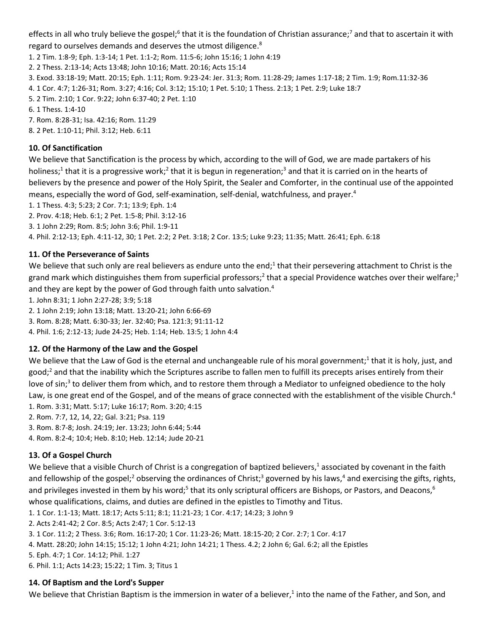effects in all who truly believe the gospel;<sup>6</sup> that it is the foundation of Christian assurance;<sup>7</sup> and that to ascertain it with regard to ourselves demands and deserves the utmost diligence.<sup>8</sup>

1. 2 Tim. 1:8-9; Eph. 1:3-14; 1 Pet. 1:1-2; Rom. 11:5-6; John 15:16; 1 John 4:19

2. 2 Thess. 2:13-14; Acts 13:48; John 10:16; Matt. 20:16; Acts 15:14

3. Exod. 33:18-19; Matt. 20:15; Eph. 1:11; Rom. 9:23-24: Jer. 31:3; Rom. 11:28-29; James 1:17-18; 2 Tim. 1:9; Rom.11:32-36

4. 1 Cor. 4:7; 1:26-31; Rom. 3:27; 4:16; Col. 3:12; 15:10; 1 Pet. 5:10; 1 Thess. 2:13; 1 Pet. 2:9; Luke 18:7

5. 2 Tim. 2:10; 1 Cor. 9:22; John 6:37-40; 2 Pet. 1:10

6. 1 Thess. 1:4-10

7. Rom. 8:28-31; Isa. 42:16; Rom. 11:29

8. 2 Pet. 1:10-11; Phil. 3:12; Heb. 6:11

#### **10. Of Sanctification**

We believe that Sanctification is the process by which, according to the will of God, we are made partakers of his holiness;<sup>1</sup> that it is a progressive work;<sup>2</sup> that it is begun in regeneration;<sup>3</sup> and that it is carried on in the hearts of believers by the presence and power of the Holy Spirit, the Sealer and Comforter, in the continual use of the appointed means, especially the word of God, self-examination, self-denial, watchfulness, and prayer. 4

1. 1 Thess. 4:3; 5:23; 2 Cor. 7:1; 13:9; Eph. 1:4

2. Prov. 4:18; Heb. 6:1; 2 Pet. 1:5-8; Phil. 3:12-16

3. 1 John 2:29; Rom. 8:5; John 3:6; Phil. 1:9-11

4. Phil. 2:12-13; Eph. 4:11-12, 30; 1 Pet. 2:2; 2 Pet. 3:18; 2 Cor. 13:5; Luke 9:23; 11:35; Matt. 26:41; Eph. 6:18

## **11. Of the Perseverance of Saints**

We believe that such only are real believers as endure unto the end;<sup>1</sup> that their persevering attachment to Christ is the grand mark which distinguishes them from superficial professors;<sup>2</sup> that a special Providence watches over their welfare;<sup>3</sup> and they are kept by the power of God through faith unto salvation.<sup>4</sup>

1. John 8:31; 1 John 2:27-28; 3:9; 5:18

2. 1 John 2:19; John 13:18; Matt. 13:20-21; John 6:66-69

3. Rom. 8:28; Matt. 6:30-33; Jer. 32:40; Psa. 121:3; 91:11-12

4. Phil. 1:6; 2:12-13; Jude 24-25; Heb. 1:14; Heb. 13:5; 1 John 4:4

# **12. Of the Harmony of the Law and the Gospel**

We believe that the Law of God is the eternal and unchangeable rule of his moral government;<sup>1</sup> that it is holy, just, and good; <sup>2</sup> and that the inability which the Scriptures ascribe to fallen men to fulfill its precepts arises entirely from their love of sin;<sup>3</sup> to deliver them from which, and to restore them through a Mediator to unfeigned obedience to the holy Law, is one great end of the Gospel, and of the means of grace connected with the establishment of the visible Church.<sup>4</sup> 1. Rom. 3:31; Matt. 5:17; Luke 16:17; Rom. 3:20; 4:15

2. Rom. 7:7, 12, 14, 22; Gal. 3:21; Psa. 119

3. Rom. 8:7-8; Josh. 24:19; Jer. 13:23; John 6:44; 5:44

4. Rom. 8:2-4; 10:4; Heb. 8:10; Heb. 12:14; Jude 20-21

# **13. Of a Gospel Church**

We believe that a visible Church of Christ is a congregation of baptized believers,<sup>1</sup> associated by covenant in the faith and fellowship of the gospel;<sup>2</sup> observing the ordinances of Christ;<sup>3</sup> governed by his laws,<sup>4</sup> and exercising the gifts, rights, and privileges invested in them by his word;<sup>5</sup> that its only scriptural officers are Bishops, or Pastors, and Deacons, <sup>6</sup> whose qualifications, claims, and duties are defined in the epistles to Timothy and Titus.

1. 1 Cor. 1:1-13; Matt. 18:17; Acts 5:11; 8:1; 11:21-23; 1 Cor. 4:17; 14:23; 3 John 9

2. Acts 2:41-42; 2 Cor. 8:5; Acts 2:47; 1 Cor. 5:12-13

3. 1 Cor. 11:2; 2 Thess. 3:6; Rom. 16:17-20; 1 Cor. 11:23-26; Matt. 18:15-20; 2 Cor. 2:7; 1 Cor. 4:17

4. Matt. 28:20; John 14:15; 15:12; 1 John 4:21; John 14:21; 1 Thess. 4.2; 2 John 6; Gal. 6:2; all the Epistles

5. Eph. 4:7; 1 Cor. 14:12; Phil. 1:27

6. Phil. 1:1; Acts 14:23; 15:22; 1 Tim. 3; Titus 1

#### **14. Of Baptism and the Lord's Supper**

We believe that Christian Baptism is the immersion in water of a believer,<sup>1</sup> into the name of the Father, and Son, and